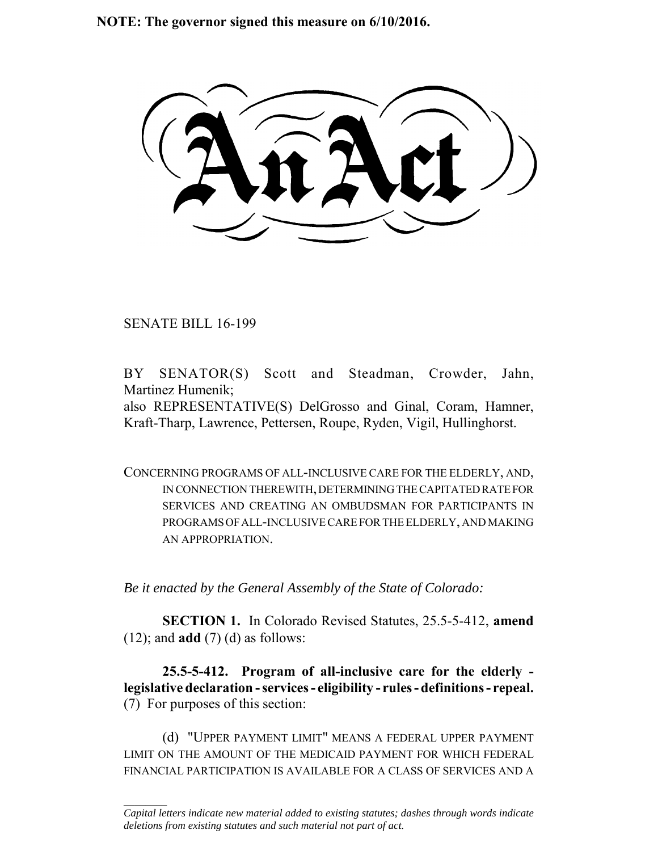**NOTE: The governor signed this measure on 6/10/2016.**

SENATE BILL 16-199

 $\frac{1}{2}$ 

BY SENATOR(S) Scott and Steadman, Crowder, Jahn, Martinez Humenik;

also REPRESENTATIVE(S) DelGrosso and Ginal, Coram, Hamner, Kraft-Tharp, Lawrence, Pettersen, Roupe, Ryden, Vigil, Hullinghorst.

CONCERNING PROGRAMS OF ALL-INCLUSIVE CARE FOR THE ELDERLY, AND, IN CONNECTION THEREWITH, DETERMINING THE CAPITATED RATE FOR SERVICES AND CREATING AN OMBUDSMAN FOR PARTICIPANTS IN PROGRAMS OF ALL-INCLUSIVE CARE FOR THE ELDERLY, AND MAKING AN APPROPRIATION.

*Be it enacted by the General Assembly of the State of Colorado:*

**SECTION 1.** In Colorado Revised Statutes, 25.5-5-412, **amend** (12); and **add** (7) (d) as follows:

**25.5-5-412. Program of all-inclusive care for the elderly legislative declaration - services - eligibility - rules - definitions - repeal.** (7) For purposes of this section:

(d) "UPPER PAYMENT LIMIT" MEANS A FEDERAL UPPER PAYMENT LIMIT ON THE AMOUNT OF THE MEDICAID PAYMENT FOR WHICH FEDERAL FINANCIAL PARTICIPATION IS AVAILABLE FOR A CLASS OF SERVICES AND A

*Capital letters indicate new material added to existing statutes; dashes through words indicate deletions from existing statutes and such material not part of act.*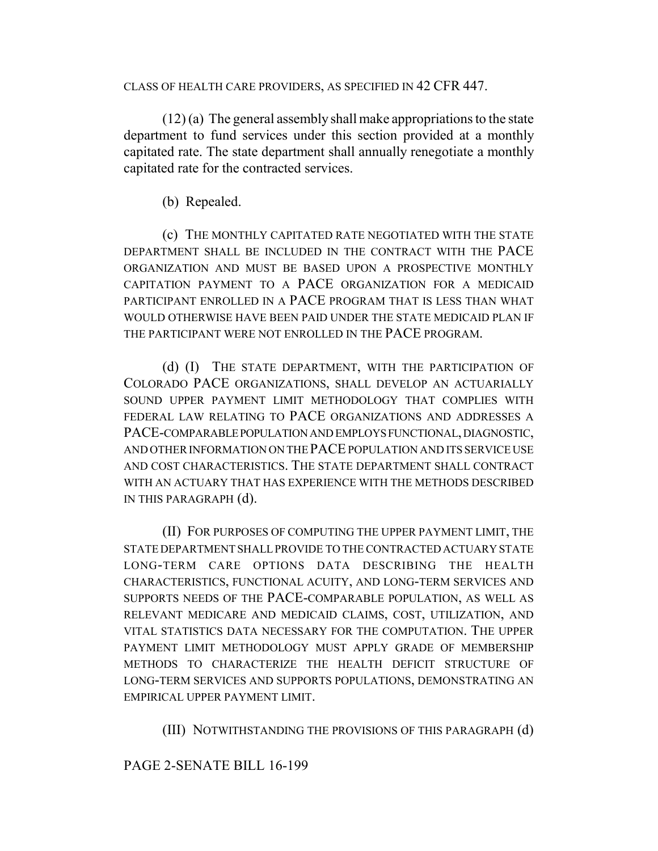CLASS OF HEALTH CARE PROVIDERS, AS SPECIFIED IN 42 CFR 447.

(12) (a) The general assembly shall make appropriations to the state department to fund services under this section provided at a monthly capitated rate. The state department shall annually renegotiate a monthly capitated rate for the contracted services.

(b) Repealed.

(c) THE MONTHLY CAPITATED RATE NEGOTIATED WITH THE STATE DEPARTMENT SHALL BE INCLUDED IN THE CONTRACT WITH THE PACE ORGANIZATION AND MUST BE BASED UPON A PROSPECTIVE MONTHLY CAPITATION PAYMENT TO A PACE ORGANIZATION FOR A MEDICAID PARTICIPANT ENROLLED IN A PACE PROGRAM THAT IS LESS THAN WHAT WOULD OTHERWISE HAVE BEEN PAID UNDER THE STATE MEDICAID PLAN IF THE PARTICIPANT WERE NOT ENROLLED IN THE PACE PROGRAM.

(d) (I) THE STATE DEPARTMENT, WITH THE PARTICIPATION OF COLORADO PACE ORGANIZATIONS, SHALL DEVELOP AN ACTUARIALLY SOUND UPPER PAYMENT LIMIT METHODOLOGY THAT COMPLIES WITH FEDERAL LAW RELATING TO PACE ORGANIZATIONS AND ADDRESSES A PACE-COMPARABLE POPULATION AND EMPLOYS FUNCTIONAL, DIAGNOSTIC, AND OTHER INFORMATION ON THE PACE POPULATION AND ITS SERVICE USE AND COST CHARACTERISTICS. THE STATE DEPARTMENT SHALL CONTRACT WITH AN ACTUARY THAT HAS EXPERIENCE WITH THE METHODS DESCRIBED IN THIS PARAGRAPH (d).

(II) FOR PURPOSES OF COMPUTING THE UPPER PAYMENT LIMIT, THE STATE DEPARTMENT SHALL PROVIDE TO THE CONTRACTED ACTUARY STATE LONG-TERM CARE OPTIONS DATA DESCRIBING THE HEALTH CHARACTERISTICS, FUNCTIONAL ACUITY, AND LONG-TERM SERVICES AND SUPPORTS NEEDS OF THE PACE-COMPARABLE POPULATION, AS WELL AS RELEVANT MEDICARE AND MEDICAID CLAIMS, COST, UTILIZATION, AND VITAL STATISTICS DATA NECESSARY FOR THE COMPUTATION. THE UPPER PAYMENT LIMIT METHODOLOGY MUST APPLY GRADE OF MEMBERSHIP METHODS TO CHARACTERIZE THE HEALTH DEFICIT STRUCTURE OF LONG-TERM SERVICES AND SUPPORTS POPULATIONS, DEMONSTRATING AN EMPIRICAL UPPER PAYMENT LIMIT.

(III) NOTWITHSTANDING THE PROVISIONS OF THIS PARAGRAPH (d)

## PAGE 2-SENATE BILL 16-199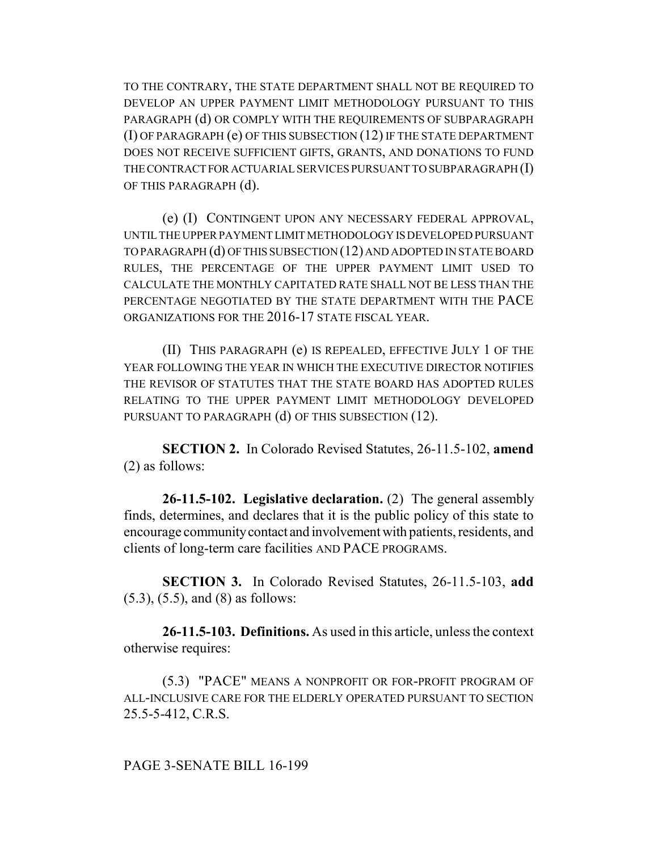TO THE CONTRARY, THE STATE DEPARTMENT SHALL NOT BE REQUIRED TO DEVELOP AN UPPER PAYMENT LIMIT METHODOLOGY PURSUANT TO THIS PARAGRAPH (d) OR COMPLY WITH THE REQUIREMENTS OF SUBPARAGRAPH (I) OF PARAGRAPH (e) OF THIS SUBSECTION (12) IF THE STATE DEPARTMENT DOES NOT RECEIVE SUFFICIENT GIFTS, GRANTS, AND DONATIONS TO FUND THE CONTRACT FOR ACTUARIAL SERVICES PURSUANT TO SUBPARAGRAPH (I) OF THIS PARAGRAPH (d).

(e) (I) CONTINGENT UPON ANY NECESSARY FEDERAL APPROVAL, UNTIL THE UPPER PAYMENT LIMIT METHODOLOGY IS DEVELOPED PURSUANT TO PARAGRAPH (d) OF THIS SUBSECTION (12) AND ADOPTED IN STATE BOARD RULES, THE PERCENTAGE OF THE UPPER PAYMENT LIMIT USED TO CALCULATE THE MONTHLY CAPITATED RATE SHALL NOT BE LESS THAN THE PERCENTAGE NEGOTIATED BY THE STATE DEPARTMENT WITH THE PACE ORGANIZATIONS FOR THE 2016-17 STATE FISCAL YEAR.

(II) THIS PARAGRAPH (e) IS REPEALED, EFFECTIVE JULY 1 OF THE YEAR FOLLOWING THE YEAR IN WHICH THE EXECUTIVE DIRECTOR NOTIFIES THE REVISOR OF STATUTES THAT THE STATE BOARD HAS ADOPTED RULES RELATING TO THE UPPER PAYMENT LIMIT METHODOLOGY DEVELOPED PURSUANT TO PARAGRAPH (d) OF THIS SUBSECTION (12).

**SECTION 2.** In Colorado Revised Statutes, 26-11.5-102, **amend** (2) as follows:

**26-11.5-102. Legislative declaration.** (2) The general assembly finds, determines, and declares that it is the public policy of this state to encourage community contact and involvement with patients, residents, and clients of long-term care facilities AND PACE PROGRAMS.

**SECTION 3.** In Colorado Revised Statutes, 26-11.5-103, **add** (5.3), (5.5), and (8) as follows:

**26-11.5-103. Definitions.** As used in this article, unless the context otherwise requires:

(5.3) "PACE" MEANS A NONPROFIT OR FOR-PROFIT PROGRAM OF ALL-INCLUSIVE CARE FOR THE ELDERLY OPERATED PURSUANT TO SECTION 25.5-5-412, C.R.S.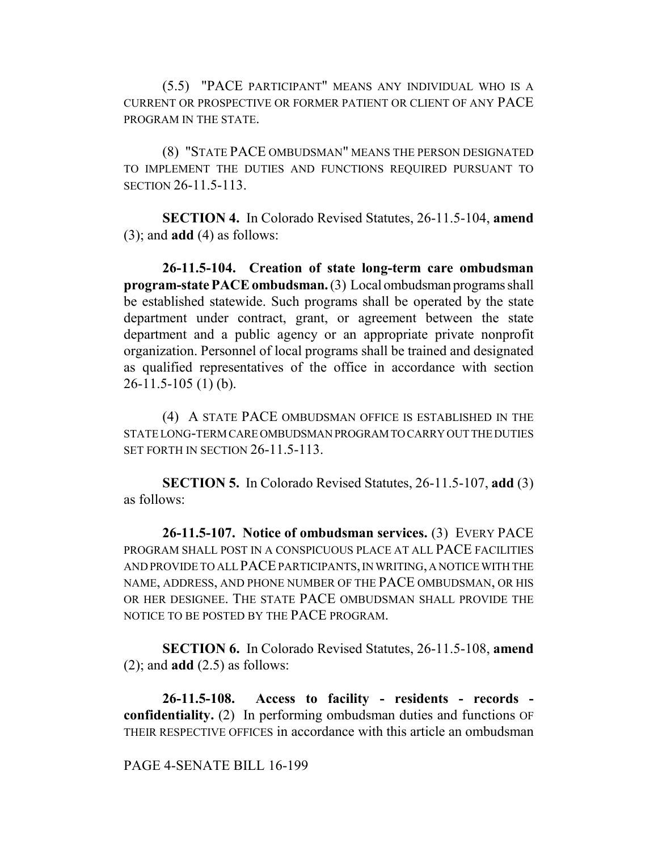(5.5) "PACE PARTICIPANT" MEANS ANY INDIVIDUAL WHO IS A CURRENT OR PROSPECTIVE OR FORMER PATIENT OR CLIENT OF ANY PACE PROGRAM IN THE STATE.

(8) "STATE PACE OMBUDSMAN" MEANS THE PERSON DESIGNATED TO IMPLEMENT THE DUTIES AND FUNCTIONS REQUIRED PURSUANT TO SECTION 26-11.5-113.

**SECTION 4.** In Colorado Revised Statutes, 26-11.5-104, **amend** (3); and **add** (4) as follows:

**26-11.5-104. Creation of state long-term care ombudsman program-state PACE ombudsman.** (3) Local ombudsman programs shall be established statewide. Such programs shall be operated by the state department under contract, grant, or agreement between the state department and a public agency or an appropriate private nonprofit organization. Personnel of local programs shall be trained and designated as qualified representatives of the office in accordance with section  $26-11.5-105(1)$  (b).

(4) A STATE PACE OMBUDSMAN OFFICE IS ESTABLISHED IN THE STATE LONG-TERM CARE OMBUDSMAN PROGRAM TO CARRY OUT THE DUTIES SET FORTH IN SECTION 26-11.5-113.

**SECTION 5.** In Colorado Revised Statutes, 26-11.5-107, **add** (3) as follows:

**26-11.5-107. Notice of ombudsman services.** (3) EVERY PACE PROGRAM SHALL POST IN A CONSPICUOUS PLACE AT ALL PACE FACILITIES AND PROVIDE TO ALL PACE PARTICIPANTS, IN WRITING, A NOTICE WITH THE NAME, ADDRESS, AND PHONE NUMBER OF THE PACE OMBUDSMAN, OR HIS OR HER DESIGNEE. THE STATE PACE OMBUDSMAN SHALL PROVIDE THE NOTICE TO BE POSTED BY THE PACE PROGRAM.

**SECTION 6.** In Colorado Revised Statutes, 26-11.5-108, **amend** (2); and **add** (2.5) as follows:

**26-11.5-108. Access to facility - residents - records confidentiality.** (2) In performing ombudsman duties and functions OF THEIR RESPECTIVE OFFICES in accordance with this article an ombudsman

## PAGE 4-SENATE BILL 16-199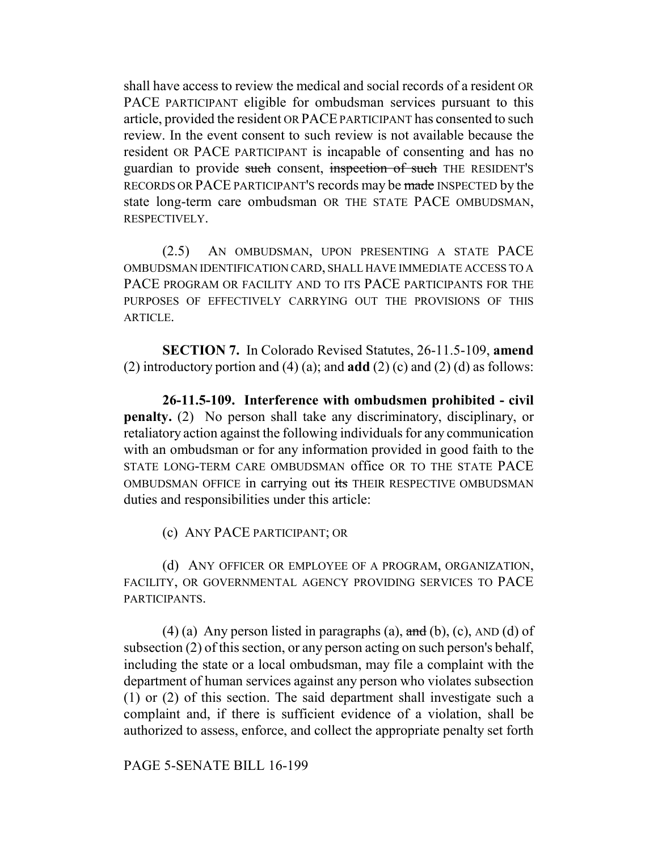shall have access to review the medical and social records of a resident OR PACE PARTICIPANT eligible for ombudsman services pursuant to this article, provided the resident OR PACE PARTICIPANT has consented to such review. In the event consent to such review is not available because the resident OR PACE PARTICIPANT is incapable of consenting and has no guardian to provide such consent, inspection of such THE RESIDENT'S RECORDS OR PACE PARTICIPANT'S records may be made INSPECTED by the state long-term care ombudsman OR THE STATE PACE OMBUDSMAN, RESPECTIVELY.

(2.5) AN OMBUDSMAN, UPON PRESENTING A STATE PACE OMBUDSMAN IDENTIFICATION CARD, SHALL HAVE IMMEDIATE ACCESS TO A PACE PROGRAM OR FACILITY AND TO ITS PACE PARTICIPANTS FOR THE PURPOSES OF EFFECTIVELY CARRYING OUT THE PROVISIONS OF THIS ARTICLE.

**SECTION 7.** In Colorado Revised Statutes, 26-11.5-109, **amend** (2) introductory portion and (4) (a); and **add** (2) (c) and (2) (d) as follows:

**26-11.5-109. Interference with ombudsmen prohibited - civil penalty.** (2) No person shall take any discriminatory, disciplinary, or retaliatory action against the following individuals for any communication with an ombudsman or for any information provided in good faith to the STATE LONG-TERM CARE OMBUDSMAN office OR TO THE STATE PACE OMBUDSMAN OFFICE in carrying out its THEIR RESPECTIVE OMBUDSMAN duties and responsibilities under this article:

(c) ANY PACE PARTICIPANT; OR

(d) ANY OFFICER OR EMPLOYEE OF A PROGRAM, ORGANIZATION, FACILITY, OR GOVERNMENTAL AGENCY PROVIDING SERVICES TO PACE PARTICIPANTS.

(4) (a) Any person listed in paragraphs (a),  $\overline{and}$  (b), (c), AND (d) of subsection (2) of this section, or any person acting on such person's behalf, including the state or a local ombudsman, may file a complaint with the department of human services against any person who violates subsection (1) or (2) of this section. The said department shall investigate such a complaint and, if there is sufficient evidence of a violation, shall be authorized to assess, enforce, and collect the appropriate penalty set forth

PAGE 5-SENATE BILL 16-199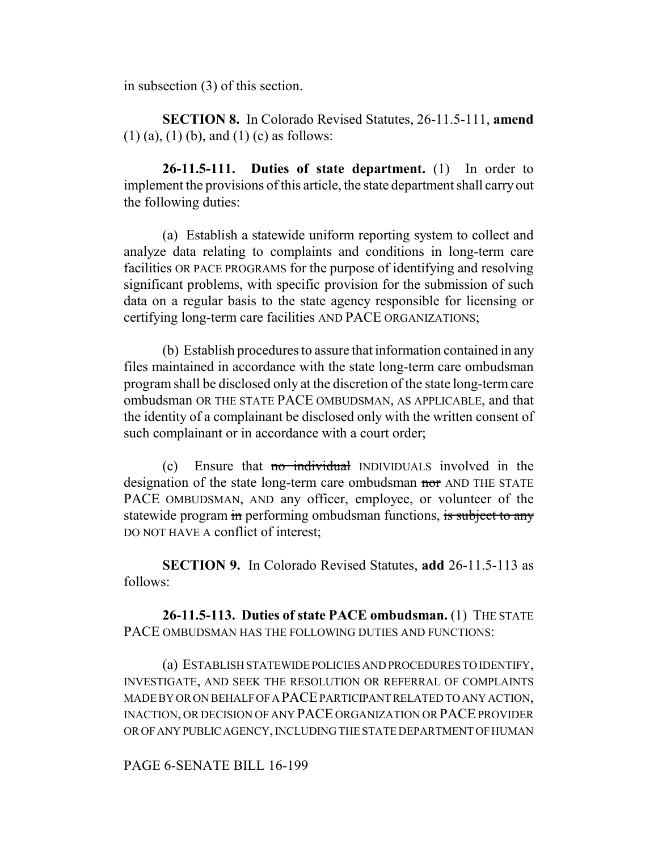in subsection (3) of this section.

**SECTION 8.** In Colorado Revised Statutes, 26-11.5-111, **amend**  $(1)$  (a),  $(1)$  (b), and  $(1)$  (c) as follows:

**26-11.5-111. Duties of state department.** (1) In order to implement the provisions of this article, the state department shall carry out the following duties:

(a) Establish a statewide uniform reporting system to collect and analyze data relating to complaints and conditions in long-term care facilities OR PACE PROGRAMS for the purpose of identifying and resolving significant problems, with specific provision for the submission of such data on a regular basis to the state agency responsible for licensing or certifying long-term care facilities AND PACE ORGANIZATIONS;

(b) Establish procedures to assure that information contained in any files maintained in accordance with the state long-term care ombudsman program shall be disclosed only at the discretion of the state long-term care ombudsman OR THE STATE PACE OMBUDSMAN, AS APPLICABLE, and that the identity of a complainant be disclosed only with the written consent of such complainant or in accordance with a court order;

(c) Ensure that no individual INDIVIDUALS involved in the designation of the state long-term care ombudsman nor AND THE STATE PACE OMBUDSMAN, AND any officer, employee, or volunteer of the statewide program in performing ombudsman functions, is subject to any DO NOT HAVE A conflict of interest;

**SECTION 9.** In Colorado Revised Statutes, **add** 26-11.5-113 as follows:

**26-11.5-113. Duties of state PACE ombudsman.** (1) THE STATE PACE OMBUDSMAN HAS THE FOLLOWING DUTIES AND FUNCTIONS:

(a) ESTABLISH STATEWIDE POLICIES AND PROCEDURES TO IDENTIFY, INVESTIGATE, AND SEEK THE RESOLUTION OR REFERRAL OF COMPLAINTS MADE BY OR ON BEHALF OF A PACE PARTICIPANT RELATED TO ANY ACTION, INACTION, OR DECISION OF ANY PACE ORGANIZATION OR PACE PROVIDER OR OF ANY PUBLIC AGENCY, INCLUDING THE STATE DEPARTMENT OF HUMAN

## PAGE 6-SENATE BILL 16-199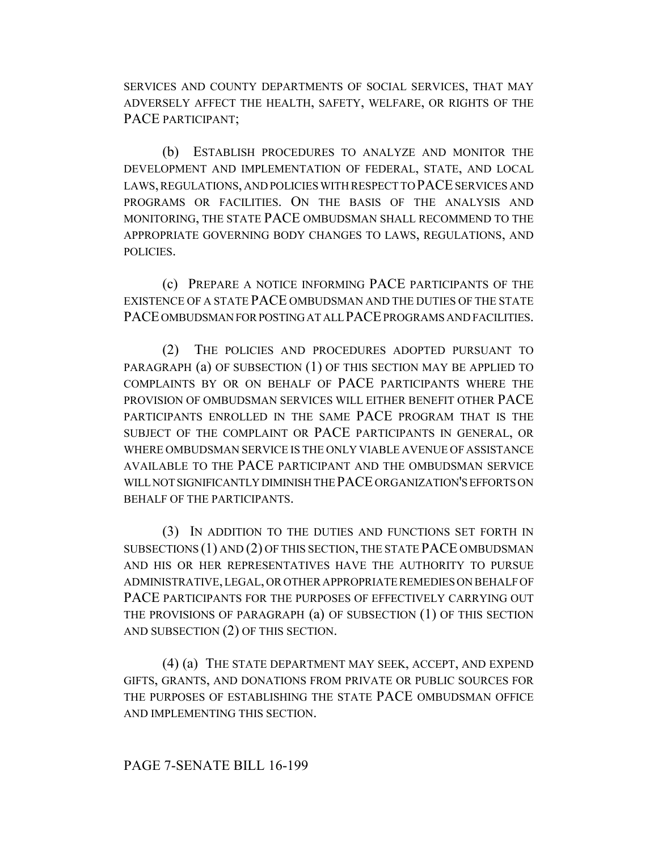SERVICES AND COUNTY DEPARTMENTS OF SOCIAL SERVICES, THAT MAY ADVERSELY AFFECT THE HEALTH, SAFETY, WELFARE, OR RIGHTS OF THE PACE PARTICIPANT:

(b) ESTABLISH PROCEDURES TO ANALYZE AND MONITOR THE DEVELOPMENT AND IMPLEMENTATION OF FEDERAL, STATE, AND LOCAL LAWS, REGULATIONS, AND POLICIES WITH RESPECT TO PACE SERVICES AND PROGRAMS OR FACILITIES. ON THE BASIS OF THE ANALYSIS AND MONITORING, THE STATE PACE OMBUDSMAN SHALL RECOMMEND TO THE APPROPRIATE GOVERNING BODY CHANGES TO LAWS, REGULATIONS, AND POLICIES.

(c) PREPARE A NOTICE INFORMING PACE PARTICIPANTS OF THE EXISTENCE OF A STATE PACE OMBUDSMAN AND THE DUTIES OF THE STATE PACE OMBUDSMAN FOR POSTING AT ALL PACE PROGRAMS AND FACILITIES.

(2) THE POLICIES AND PROCEDURES ADOPTED PURSUANT TO PARAGRAPH (a) OF SUBSECTION (1) OF THIS SECTION MAY BE APPLIED TO COMPLAINTS BY OR ON BEHALF OF PACE PARTICIPANTS WHERE THE PROVISION OF OMBUDSMAN SERVICES WILL EITHER BENEFIT OTHER PACE PARTICIPANTS ENROLLED IN THE SAME PACE PROGRAM THAT IS THE SUBJECT OF THE COMPLAINT OR PACE PARTICIPANTS IN GENERAL, OR WHERE OMBUDSMAN SERVICE IS THE ONLY VIABLE AVENUE OF ASSISTANCE AVAILABLE TO THE PACE PARTICIPANT AND THE OMBUDSMAN SERVICE WILL NOT SIGNIFICANTLY DIMINISH THE PACE ORGANIZATION'S EFFORTS ON BEHALF OF THE PARTICIPANTS.

(3) IN ADDITION TO THE DUTIES AND FUNCTIONS SET FORTH IN SUBSECTIONS (1) AND (2) OF THIS SECTION, THE STATE PACE OMBUDSMAN AND HIS OR HER REPRESENTATIVES HAVE THE AUTHORITY TO PURSUE ADMINISTRATIVE, LEGAL, OR OTHER APPROPRIATE REMEDIES ON BEHALF OF PACE PARTICIPANTS FOR THE PURPOSES OF EFFECTIVELY CARRYING OUT THE PROVISIONS OF PARAGRAPH (a) OF SUBSECTION (1) OF THIS SECTION AND SUBSECTION (2) OF THIS SECTION.

(4) (a) THE STATE DEPARTMENT MAY SEEK, ACCEPT, AND EXPEND GIFTS, GRANTS, AND DONATIONS FROM PRIVATE OR PUBLIC SOURCES FOR THE PURPOSES OF ESTABLISHING THE STATE PACE OMBUDSMAN OFFICE AND IMPLEMENTING THIS SECTION.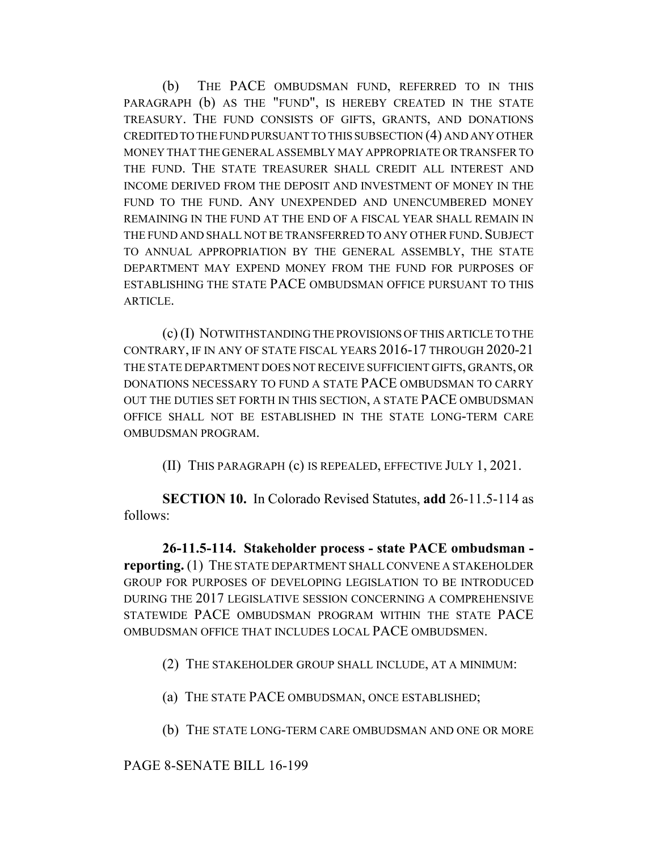(b) THE PACE OMBUDSMAN FUND, REFERRED TO IN THIS PARAGRAPH (b) AS THE "FUND", IS HEREBY CREATED IN THE STATE TREASURY. THE FUND CONSISTS OF GIFTS, GRANTS, AND DONATIONS CREDITED TO THE FUND PURSUANT TO THIS SUBSECTION (4) AND ANY OTHER MONEY THAT THE GENERAL ASSEMBLY MAY APPROPRIATE OR TRANSFER TO THE FUND. THE STATE TREASURER SHALL CREDIT ALL INTEREST AND INCOME DERIVED FROM THE DEPOSIT AND INVESTMENT OF MONEY IN THE FUND TO THE FUND. ANY UNEXPENDED AND UNENCUMBERED MONEY REMAINING IN THE FUND AT THE END OF A FISCAL YEAR SHALL REMAIN IN THE FUND AND SHALL NOT BE TRANSFERRED TO ANY OTHER FUND. SUBJECT TO ANNUAL APPROPRIATION BY THE GENERAL ASSEMBLY, THE STATE DEPARTMENT MAY EXPEND MONEY FROM THE FUND FOR PURPOSES OF ESTABLISHING THE STATE PACE OMBUDSMAN OFFICE PURSUANT TO THIS ARTICLE.

(c) (I) NOTWITHSTANDING THE PROVISIONS OF THIS ARTICLE TO THE CONTRARY, IF IN ANY OF STATE FISCAL YEARS 2016-17 THROUGH 2020-21 THE STATE DEPARTMENT DOES NOT RECEIVE SUFFICIENT GIFTS, GRANTS, OR DONATIONS NECESSARY TO FUND A STATE PACE OMBUDSMAN TO CARRY OUT THE DUTIES SET FORTH IN THIS SECTION, A STATE PACE OMBUDSMAN OFFICE SHALL NOT BE ESTABLISHED IN THE STATE LONG-TERM CARE OMBUDSMAN PROGRAM.

(II) THIS PARAGRAPH (c) IS REPEALED, EFFECTIVE JULY 1, 2021.

**SECTION 10.** In Colorado Revised Statutes, **add** 26-11.5-114 as follows:

**26-11.5-114. Stakeholder process - state PACE ombudsman reporting.** (1) THE STATE DEPARTMENT SHALL CONVENE A STAKEHOLDER GROUP FOR PURPOSES OF DEVELOPING LEGISLATION TO BE INTRODUCED DURING THE 2017 LEGISLATIVE SESSION CONCERNING A COMPREHENSIVE STATEWIDE PACE OMBUDSMAN PROGRAM WITHIN THE STATE PACE OMBUDSMAN OFFICE THAT INCLUDES LOCAL PACE OMBUDSMEN.

(2) THE STAKEHOLDER GROUP SHALL INCLUDE, AT A MINIMUM:

(a) THE STATE PACE OMBUDSMAN, ONCE ESTABLISHED;

(b) THE STATE LONG-TERM CARE OMBUDSMAN AND ONE OR MORE

PAGE 8-SENATE BILL 16-199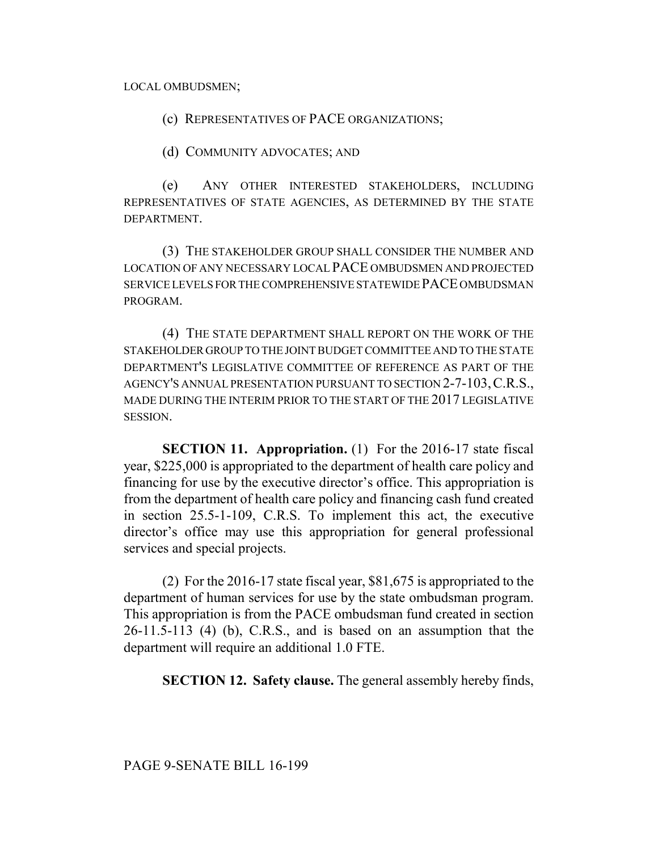LOCAL OMBUDSMEN;

(c) REPRESENTATIVES OF PACE ORGANIZATIONS;

(d) COMMUNITY ADVOCATES; AND

(e) ANY OTHER INTERESTED STAKEHOLDERS, INCLUDING REPRESENTATIVES OF STATE AGENCIES, AS DETERMINED BY THE STATE DEPARTMENT.

(3) THE STAKEHOLDER GROUP SHALL CONSIDER THE NUMBER AND LOCATION OF ANY NECESSARY LOCAL PACE OMBUDSMEN AND PROJECTED SERVICE LEVELS FOR THE COMPREHENSIVE STATEWIDE PACE OMBUDSMAN PROGRAM.

(4) THE STATE DEPARTMENT SHALL REPORT ON THE WORK OF THE STAKEHOLDER GROUP TO THE JOINT BUDGET COMMITTEE AND TO THE STATE DEPARTMENT'S LEGISLATIVE COMMITTEE OF REFERENCE AS PART OF THE AGENCY'S ANNUAL PRESENTATION PURSUANT TO SECTION 2-7-103,C.R.S., MADE DURING THE INTERIM PRIOR TO THE START OF THE 2017 LEGISLATIVE SESSION.

**SECTION 11. Appropriation.** (1) For the 2016-17 state fiscal year, \$225,000 is appropriated to the department of health care policy and financing for use by the executive director's office. This appropriation is from the department of health care policy and financing cash fund created in section 25.5-1-109, C.R.S. To implement this act, the executive director's office may use this appropriation for general professional services and special projects.

(2) For the 2016-17 state fiscal year, \$81,675 is appropriated to the department of human services for use by the state ombudsman program. This appropriation is from the PACE ombudsman fund created in section 26-11.5-113 (4) (b), C.R.S., and is based on an assumption that the department will require an additional 1.0 FTE.

**SECTION 12. Safety clause.** The general assembly hereby finds,